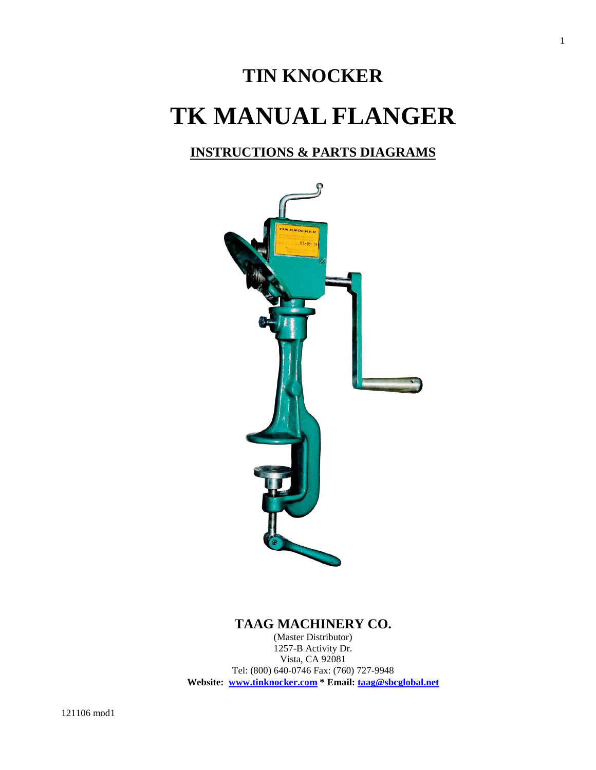# **TIN KNOCKER TK MANUAL FLANGER**

## **INSTRUCTIONS & PARTS DIAGRAMS**



## **TAAG MACHINERY CO.**

(Master Distributor) 1257-B Activity Dr. Vista, CA 92081 Tel: (800) 640-0746 Fax: (760) 727-9948 **Website: www.tinknocker.com \* Email: taag@sbcglobal.net** 1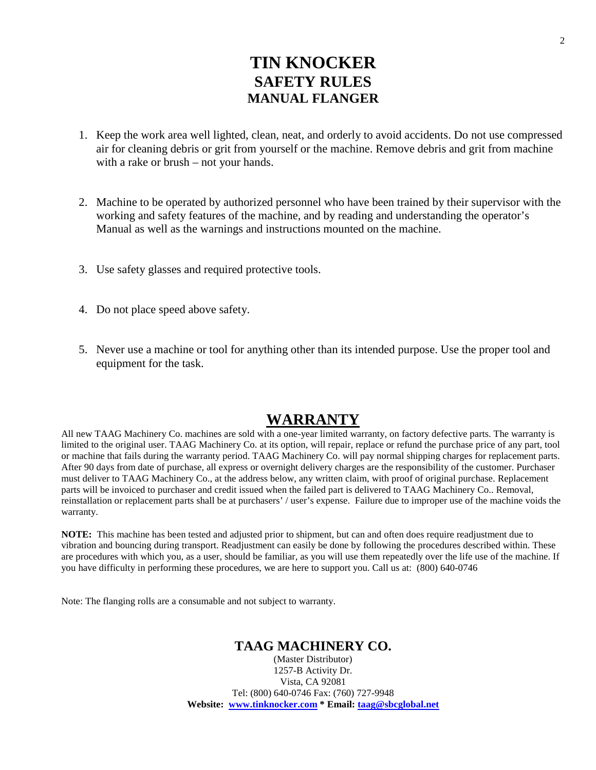# **TIN KNOCKER SAFETY RULES MANUAL FLANGER**

- 1. Keep the work area well lighted, clean, neat, and orderly to avoid accidents. Do not use compressed air for cleaning debris or grit from yourself or the machine. Remove debris and grit from machine with a rake or brush – not your hands.
- 2. Machine to be operated by authorized personnel who have been trained by their supervisor with the working and safety features of the machine, and by reading and understanding the operator's Manual as well as the warnings and instructions mounted on the machine.
- 3. Use safety glasses and required protective tools.
- 4. Do not place speed above safety.
- 5. Never use a machine or tool for anything other than its intended purpose. Use the proper tool and equipment for the task.

## **WARRANTY**

All new TAAG Machinery Co. machines are sold with a one-year limited warranty, on factory defective parts. The warranty is limited to the original user. TAAG Machinery Co. at its option, will repair, replace or refund the purchase price of any part, tool or machine that fails during the warranty period. TAAG Machinery Co. will pay normal shipping charges for replacement parts. After 90 days from date of purchase, all express or overnight delivery charges are the responsibility of the customer. Purchaser must deliver to TAAG Machinery Co., at the address below, any written claim, with proof of original purchase. Replacement parts will be invoiced to purchaser and credit issued when the failed part is delivered to TAAG Machinery Co.. Removal, reinstallation or replacement parts shall be at purchasers' / user's expense. Failure due to improper use of the machine voids the warranty.

**NOTE:** This machine has been tested and adjusted prior to shipment, but can and often does require readjustment due to vibration and bouncing during transport. Readjustment can easily be done by following the procedures described within. These are procedures with which you, as a user, should be familiar, as you will use them repeatedly over the life use of the machine. If you have difficulty in performing these procedures, we are here to support you. Call us at: (800) 640-0746

Note: The flanging rolls are a consumable and not subject to warranty.

#### **TAAG MACHINERY CO.**

(Master Distributor) 1257-B Activity Dr. Vista, CA 92081 Tel: (800) 640-0746 Fax: (760) 727-9948 **Website: www.tinknocker.com \* Email: taag@sbcglobal.net**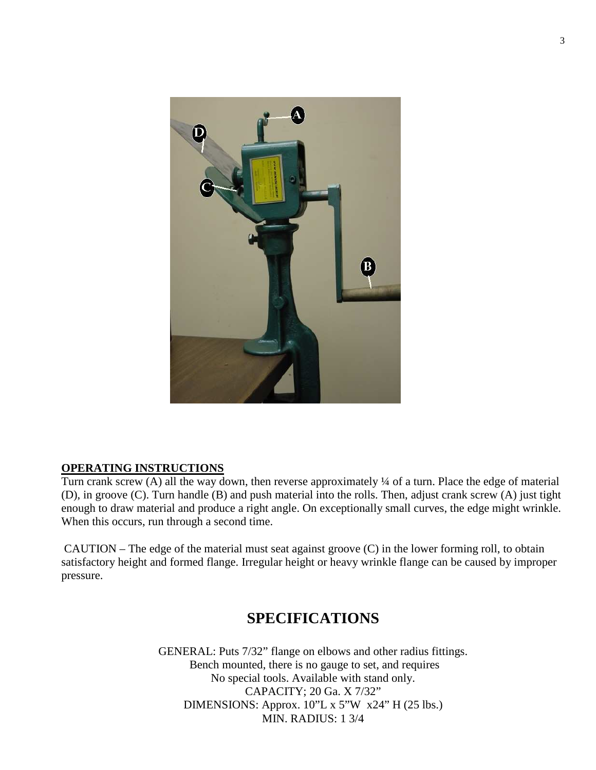

#### **OPERATING INSTRUCTIONS**

Turn crank screw (A) all the way down, then reverse approximately ¼ of a turn. Place the edge of material (D), in groove (C). Turn handle (B) and push material into the rolls. Then, adjust crank screw (A) just tight enough to draw material and produce a right angle. On exceptionally small curves, the edge might wrinkle. When this occurs, run through a second time.

 CAUTION – The edge of the material must seat against groove (C) in the lower forming roll, to obtain satisfactory height and formed flange. Irregular height or heavy wrinkle flange can be caused by improper pressure.

# **SPECIFICATIONS**

GENERAL: Puts 7/32" flange on elbows and other radius fittings. Bench mounted, there is no gauge to set, and requires No special tools. Available with stand only. CAPACITY; 20 Ga. X 7/32" DIMENSIONS: Approx. 10"L x 5"W x24" H (25 lbs.) MIN. RADIUS: 1 3/4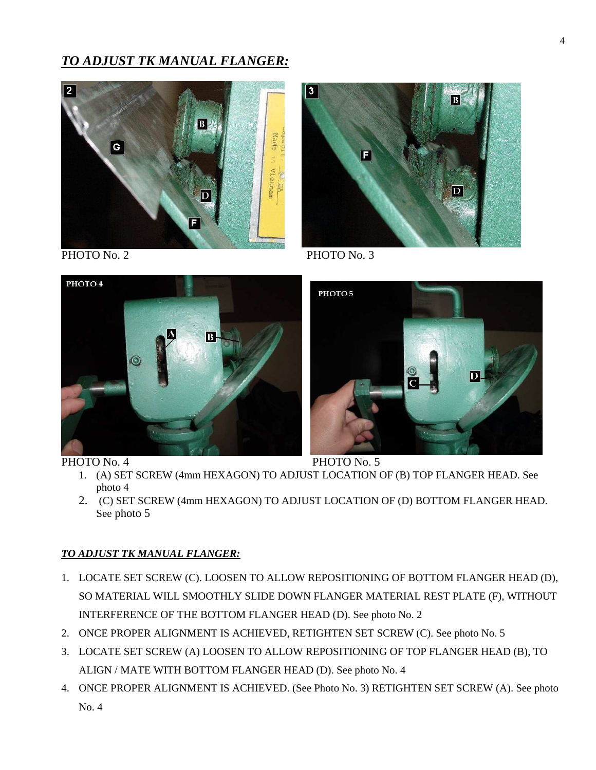## *TO ADJUST TK MANUAL FLANGER:*





PHOTO No. 2 PHOTO No. 3



РНОТО 5  $|D|$ 

PHOTO No. 4 PHOTO No. 5

- 1. (A) SET SCREW (4mm HEXAGON) TO ADJUST LOCATION OF (B) TOP FLANGER HEAD. See photo 4
- 2. (C) SET SCREW (4mm HEXAGON) TO ADJUST LOCATION OF (D) BOTTOM FLANGER HEAD. See photo 5

#### *TO ADJUST TK MANUAL FLANGER:*

- 1. LOCATE SET SCREW (C). LOOSEN TO ALLOW REPOSITIONING OF BOTTOM FLANGER HEAD (D), SO MATERIAL WILL SMOOTHLY SLIDE DOWN FLANGER MATERIAL REST PLATE (F), WITHOUT INTERFERENCE OF THE BOTTOM FLANGER HEAD (D). See photo No. 2
- 2. ONCE PROPER ALIGNMENT IS ACHIEVED, RETIGHTEN SET SCREW (C). See photo No. 5
- 3. LOCATE SET SCREW (A) LOOSEN TO ALLOW REPOSITIONING OF TOP FLANGER HEAD (B), TO ALIGN / MATE WITH BOTTOM FLANGER HEAD (D). See photo No. 4
- 4. ONCE PROPER ALIGNMENT IS ACHIEVED. (See Photo No. 3) RETIGHTEN SET SCREW (A). See photo No. 4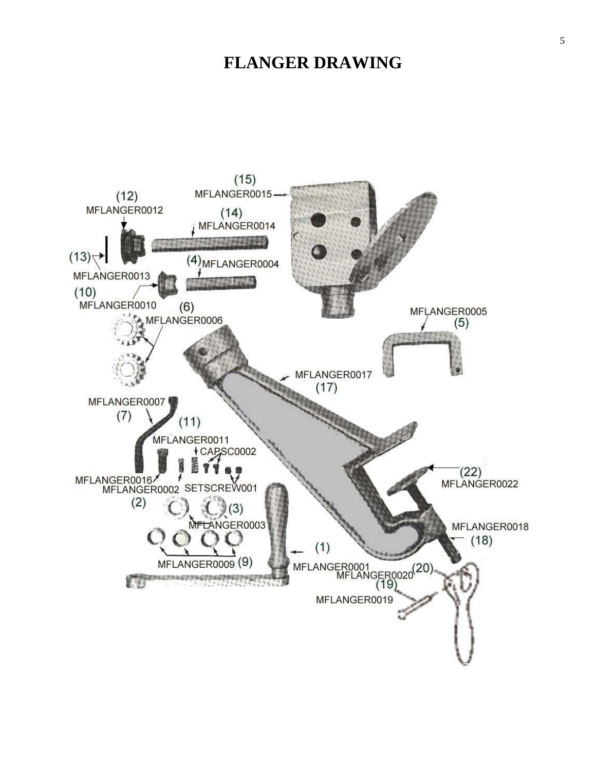# **FLANGER DRAWING**